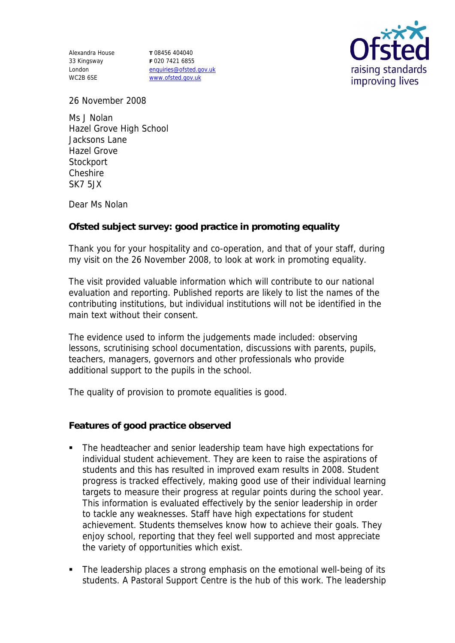Alexandra House 33 Kingsway London WC2B 6SE

**T** 08456 404040 **F** 020 7421 6855 enquiries@ofsted.gov.uk www.ofsted.gov.uk



26 November 2008

Ms J Nolan Hazel Grove High School Jacksons Lane Hazel Grove **Stockport** Cheshire SK7 5JX

Dear Ms Nolan

**Ofsted subject survey: good practice in promoting equality** 

Thank you for your hospitality and co-operation, and that of your staff, during my visit on the 26 November 2008, to look at work in promoting equality.

The visit provided valuable information which will contribute to our national evaluation and reporting. Published reports are likely to list the names of the contributing institutions, but individual institutions will not be identified in the main text without their consent.

The evidence used to inform the judgements made included: observing lessons, scrutinising school documentation, discussions with parents, pupils, teachers, managers, governors and other professionals who provide additional support to the pupils in the school.

The quality of provision to promote equalities is good.

**Features of good practice observed**

- **The headteacher and senior leadership team have high expectations for** individual student achievement. They are keen to raise the aspirations of students and this has resulted in improved exam results in 2008. Student progress is tracked effectively, making good use of their individual learning targets to measure their progress at regular points during the school year. This information is evaluated effectively by the senior leadership in order to tackle any weaknesses. Staff have high expectations for student achievement. Students themselves know how to achieve their goals. They enjoy school, reporting that they feel well supported and most appreciate the variety of opportunities which exist.
- The leadership places a strong emphasis on the emotional well-being of its students. A Pastoral Support Centre is the hub of this work. The leadership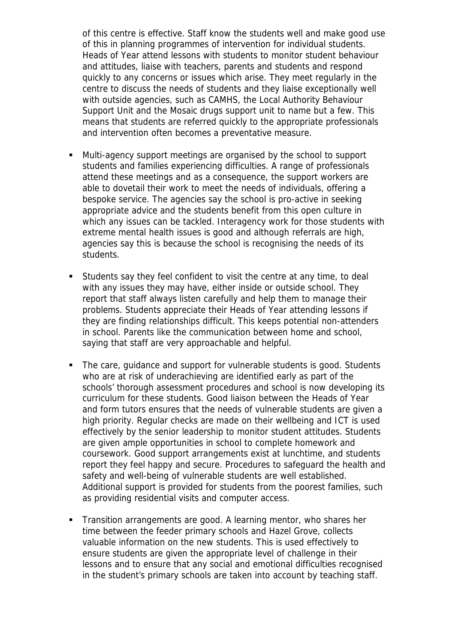of this centre is effective. Staff know the students well and make good use of this in planning programmes of intervention for individual students. Heads of Year attend lessons with students to monitor student behaviour and attitudes, liaise with teachers, parents and students and respond quickly to any concerns or issues which arise. They meet regularly in the centre to discuss the needs of students and they liaise exceptionally well with outside agencies, such as CAMHS, the Local Authority Behaviour Support Unit and the Mosaic drugs support unit to name but a few. This means that students are referred quickly to the appropriate professionals and intervention often becomes a preventative measure.

- Multi-agency support meetings are organised by the school to support students and families experiencing difficulties. A range of professionals attend these meetings and as a consequence, the support workers are able to dovetail their work to meet the needs of individuals, offering a bespoke service. The agencies say the school is pro-active in seeking appropriate advice and the students benefit from this open culture in which any issues can be tackled. Interagency work for those students with extreme mental health issues is good and although referrals are high, agencies say this is because the school is recognising the needs of its students.
- Students say they feel confident to visit the centre at any time, to deal with any issues they may have, either inside or outside school. They report that staff always listen carefully and help them to manage their problems. Students appreciate their Heads of Year attending lessons if they are finding relationships difficult. This keeps potential non-attenders in school. Parents like the communication between home and school, saying that staff are very approachable and helpful.
- The care, guidance and support for vulnerable students is good. Students who are at risk of underachieving are identified early as part of the schools' thorough assessment procedures and school is now developing its curriculum for these students. Good liaison between the Heads of Year and form tutors ensures that the needs of vulnerable students are given a high priority. Regular checks are made on their wellbeing and ICT is used effectively by the senior leadership to monitor student attitudes. Students are given ample opportunities in school to complete homework and coursework. Good support arrangements exist at lunchtime, and students report they feel happy and secure. Procedures to safeguard the health and safety and well-being of vulnerable students are well established. Additional support is provided for students from the poorest families, such as providing residential visits and computer access.
- Transition arrangements are good. A learning mentor, who shares her time between the feeder primary schools and Hazel Grove, collects valuable information on the new students. This is used effectively to ensure students are given the appropriate level of challenge in their lessons and to ensure that any social and emotional difficulties recognised in the student's primary schools are taken into account by teaching staff.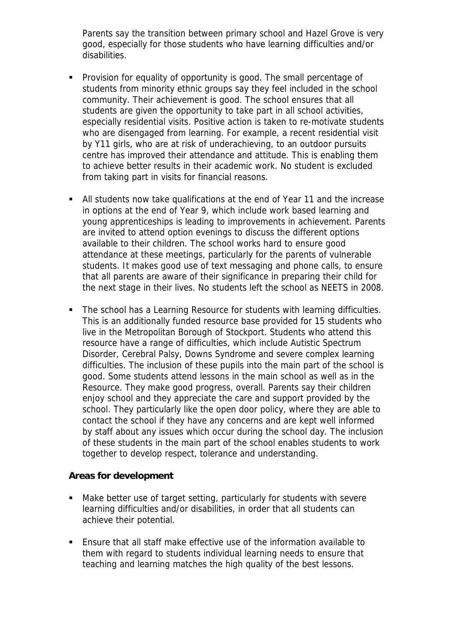Parents say the transition between primary school and Hazel Grove is very good, especially for those students who have learning difficulties and/or disabilities.

- **Provision for equality of opportunity is good. The small percentage of** students from minority ethnic groups say they feel included in the school community. Their achievement is good. The school ensures that all students are given the opportunity to take part in all school activities, especially residential visits. Positive action is taken to re-motivate students who are disengaged from learning. For example, a recent residential visit by Y11 girls, who are at risk of underachieving, to an outdoor pursuits centre has improved their attendance and attitude. This is enabling them to achieve better results in their academic work. No student is excluded from taking part in visits for financial reasons.
- All students now take qualifications at the end of Year 11 and the increase in options at the end of Year 9, which include work based learning and young apprenticeships is leading to improvements in achievement. Parents are invited to attend option evenings to discuss the different options available to their children. The school works hard to ensure good attendance at these meetings, particularly for the parents of vulnerable students. It makes good use of text messaging and phone calls, to ensure that all parents are aware of their significance in preparing their child for the next stage in their lives. No students left the school as NEETS in 2008.
- The school has a Learning Resource for students with learning difficulties. This is an additionally funded resource base provided for 15 students who live in the Metropolitan Borough of Stockport. Students who attend this resource have a range of difficulties, which include Autistic Spectrum Disorder, Cerebral Palsy, Downs Syndrome and severe complex learning difficulties. The inclusion of these pupils into the main part of the school is good. Some students attend lessons in the main school as well as in the Resource. They make good progress, overall. Parents say their children enjoy school and they appreciate the care and support provided by the school. They particularly like the open door policy, where they are able to contact the school if they have any concerns and are kept well informed by staff about any issues which occur during the school day. The inclusion of these students in the main part of the school enables students to work together to develop respect, tolerance and understanding.

**Areas for development**

- Make better use of target setting, particularly for students with severe learning difficulties and/or disabilities, in order that all students can achieve their potential.
- Ensure that all staff make effective use of the information available to them with regard to students individual learning needs to ensure that teaching and learning matches the high quality of the best lessons.